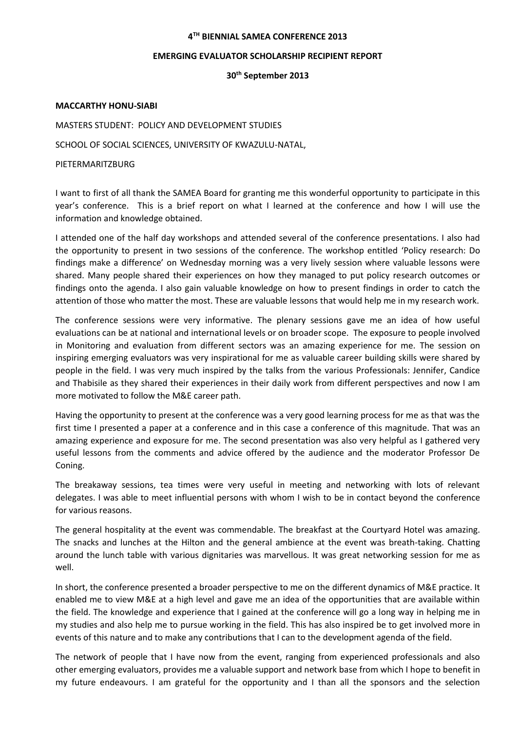# **4 TH BIENNIAL SAMEA CONFERENCE 2013**

## **EMERGING EVALUATOR SCHOLARSHIP RECIPIENT REPORT**

## **30th September 2013**

## **MACCARTHY HONU-SIABI**

MASTERS STUDENT: POLICY AND DEVELOPMENT STUDIES

SCHOOL OF SOCIAL SCIENCES, UNIVERSITY OF KWAZULU-NATAL,

# PIETERMARITZBURG

I want to first of all thank the SAMEA Board for granting me this wonderful opportunity to participate in this year's conference. This is a brief report on what I learned at the conference and how I will use the information and knowledge obtained.

I attended one of the half day workshops and attended several of the conference presentations. I also had the opportunity to present in two sessions of the conference. The workshop entitled 'Policy research: Do findings make a difference' on Wednesday morning was a very lively session where valuable lessons were shared. Many people shared their experiences on how they managed to put policy research outcomes or findings onto the agenda. I also gain valuable knowledge on how to present findings in order to catch the attention of those who matter the most. These are valuable lessons that would help me in my research work.

The conference sessions were very informative. The plenary sessions gave me an idea of how useful evaluations can be at national and international levels or on broader scope. The exposure to people involved in Monitoring and evaluation from different sectors was an amazing experience for me. The session on inspiring emerging evaluators was very inspirational for me as valuable career building skills were shared by people in the field. I was very much inspired by the talks from the various Professionals: Jennifer, Candice and Thabisile as they shared their experiences in their daily work from different perspectives and now I am more motivated to follow the M&E career path.

Having the opportunity to present at the conference was a very good learning process for me as that was the first time I presented a paper at a conference and in this case a conference of this magnitude. That was an amazing experience and exposure for me. The second presentation was also very helpful as I gathered very useful lessons from the comments and advice offered by the audience and the moderator Professor De Coning.

The breakaway sessions, tea times were very useful in meeting and networking with lots of relevant delegates. I was able to meet influential persons with whom I wish to be in contact beyond the conference for various reasons.

The general hospitality at the event was commendable. The breakfast at the Courtyard Hotel was amazing. The snacks and lunches at the Hilton and the general ambience at the event was breath-taking. Chatting around the lunch table with various dignitaries was marvellous. It was great networking session for me as well.

In short, the conference presented a broader perspective to me on the different dynamics of M&E practice. It enabled me to view M&E at a high level and gave me an idea of the opportunities that are available within the field. The knowledge and experience that I gained at the conference will go a long way in helping me in my studies and also help me to pursue working in the field. This has also inspired be to get involved more in events of this nature and to make any contributions that I can to the development agenda of the field.

The network of people that I have now from the event, ranging from experienced professionals and also other emerging evaluators, provides me a valuable support and network base from which I hope to benefit in my future endeavours. I am grateful for the opportunity and I than all the sponsors and the selection